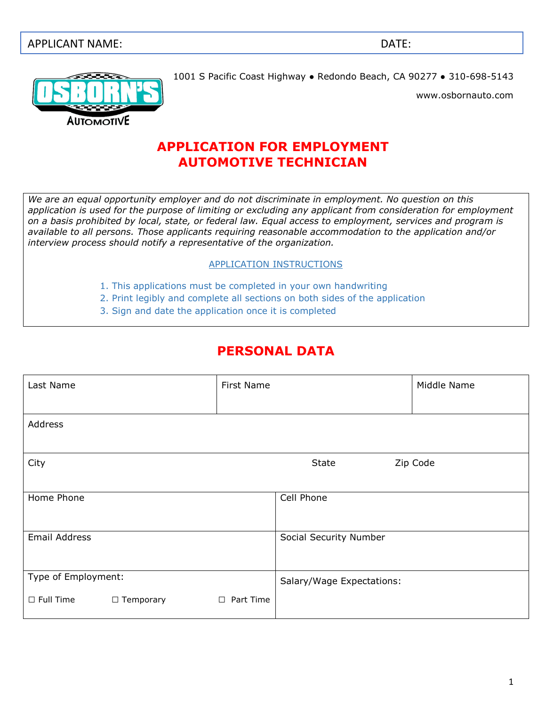#### APPLICANT NAME: DATE:



1001 S Pacific Coast Highway ● Redondo Beach, CA 90277 ● 310-698-5143

www.osbornauto.com

#### **APPLICATION FOR EMPLOYMENT AUTOMOTIVE TECHNICIAN**

*We are an equal opportunity employer and do not discriminate in employment. No question on this application is used for the purpose of limiting or excluding any applicant from consideration for employment on a basis prohibited by local, state, or federal law. Equal access to employment, services and program is available to all persons. Those applicants requiring reasonable accommodation to the application and/or interview process should notify a representative of the organization.* 

#### APPLICATION INSTRUCTIONS

- 1. This applications must be completed in your own handwriting
- 2. Print legibly and complete all sections on both sides of the application
- 3. Sign and date the application once it is completed

## **PERSONAL DATA**

| Last Name            |                  | First Name          |                           | Middle Name |
|----------------------|------------------|---------------------|---------------------------|-------------|
|                      |                  |                     |                           |             |
| Address              |                  |                     |                           |             |
|                      |                  |                     |                           |             |
| City                 |                  |                     | State                     | Zip Code    |
|                      |                  |                     |                           |             |
| Home Phone           |                  |                     | Cell Phone                |             |
|                      |                  |                     |                           |             |
| <b>Email Address</b> |                  |                     | Social Security Number    |             |
|                      |                  |                     |                           |             |
| Type of Employment:  |                  |                     | Salary/Wage Expectations: |             |
| $\Box$ Full Time     | $\Box$ Temporary | Part Time<br>$\Box$ |                           |             |
|                      |                  |                     |                           |             |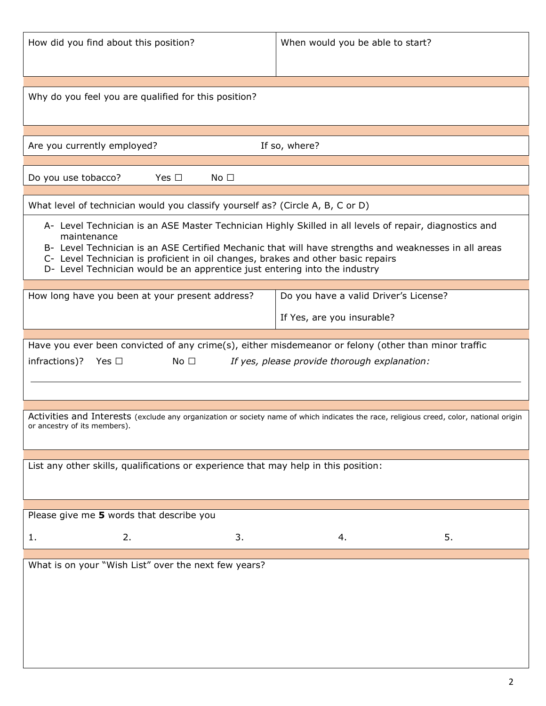| How did you find about this position?                                                                                                                                                                                                                                                  | When would you be able to start?                                                                                                        |  |  |  |  |
|----------------------------------------------------------------------------------------------------------------------------------------------------------------------------------------------------------------------------------------------------------------------------------------|-----------------------------------------------------------------------------------------------------------------------------------------|--|--|--|--|
| Why do you feel you are qualified for this position?                                                                                                                                                                                                                                   |                                                                                                                                         |  |  |  |  |
| Are you currently employed?                                                                                                                                                                                                                                                            | If so, where?                                                                                                                           |  |  |  |  |
|                                                                                                                                                                                                                                                                                        |                                                                                                                                         |  |  |  |  |
| Do you use tobacco?<br>Yes $\Box$<br>No <sub>1</sub>                                                                                                                                                                                                                                   |                                                                                                                                         |  |  |  |  |
| What level of technician would you classify yourself as? (Circle A, B, C or D)                                                                                                                                                                                                         |                                                                                                                                         |  |  |  |  |
| A- Level Technician is an ASE Master Technician Highly Skilled in all levels of repair, diagnostics and                                                                                                                                                                                |                                                                                                                                         |  |  |  |  |
| maintenance<br>B- Level Technician is an ASE Certified Mechanic that will have strengths and weaknesses in all areas<br>C- Level Technician is proficient in oil changes, brakes and other basic repairs<br>D- Level Technician would be an apprentice just entering into the industry |                                                                                                                                         |  |  |  |  |
| How long have you been at your present address?                                                                                                                                                                                                                                        | Do you have a valid Driver's License?                                                                                                   |  |  |  |  |
|                                                                                                                                                                                                                                                                                        | If Yes, are you insurable?                                                                                                              |  |  |  |  |
|                                                                                                                                                                                                                                                                                        |                                                                                                                                         |  |  |  |  |
| Have you ever been convicted of any crime(s), either misdemeanor or felony (other than minor traffic<br>infractions)? Yes $\square$<br>No $\square$                                                                                                                                    | If yes, please provide thorough explanation:                                                                                            |  |  |  |  |
|                                                                                                                                                                                                                                                                                        |                                                                                                                                         |  |  |  |  |
| or ancestry of its members).                                                                                                                                                                                                                                                           | Activities and Interests (exclude any organization or society name of which indicates the race, religious creed, color, national origin |  |  |  |  |
|                                                                                                                                                                                                                                                                                        |                                                                                                                                         |  |  |  |  |
| List any other skills, qualifications or experience that may help in this position:                                                                                                                                                                                                    |                                                                                                                                         |  |  |  |  |
| Please give me 5 words that describe you                                                                                                                                                                                                                                               |                                                                                                                                         |  |  |  |  |
| 2.<br>3.<br>1.                                                                                                                                                                                                                                                                         | 5.<br>4.                                                                                                                                |  |  |  |  |
| What is on your "Wish List" over the next few years?                                                                                                                                                                                                                                   |                                                                                                                                         |  |  |  |  |
|                                                                                                                                                                                                                                                                                        |                                                                                                                                         |  |  |  |  |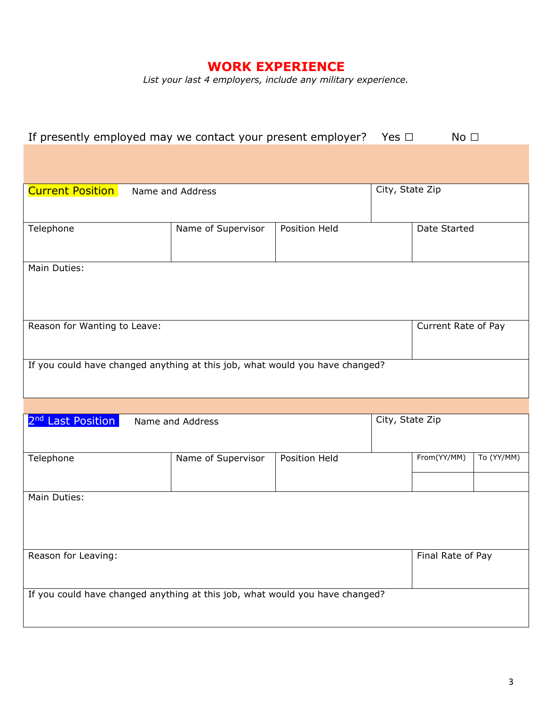### **WORK EXPERIENCE**

*List your last 4 employers, include any military experience.*

| If presently employed may we contact your present employer? Yes $\Box$<br>No <sub>1</sub> |                                                                              |               |                 |                     |            |  |
|-------------------------------------------------------------------------------------------|------------------------------------------------------------------------------|---------------|-----------------|---------------------|------------|--|
|                                                                                           |                                                                              |               |                 |                     |            |  |
|                                                                                           |                                                                              |               |                 |                     |            |  |
| <b>Current Position</b>                                                                   | Name and Address                                                             |               | City, State Zip |                     |            |  |
|                                                                                           |                                                                              |               |                 |                     |            |  |
| Telephone                                                                                 | Name of Supervisor                                                           | Position Held |                 | Date Started        |            |  |
|                                                                                           |                                                                              |               |                 |                     |            |  |
| Main Duties:                                                                              |                                                                              |               |                 |                     |            |  |
|                                                                                           |                                                                              |               |                 |                     |            |  |
|                                                                                           |                                                                              |               |                 |                     |            |  |
| Reason for Wanting to Leave:                                                              |                                                                              |               |                 | Current Rate of Pay |            |  |
|                                                                                           |                                                                              |               |                 |                     |            |  |
|                                                                                           | If you could have changed anything at this job, what would you have changed? |               |                 |                     |            |  |
|                                                                                           |                                                                              |               |                 |                     |            |  |
|                                                                                           |                                                                              |               |                 |                     |            |  |
| 2 <sup>nd</sup> Last Position                                                             | Name and Address                                                             |               | City, State Zip |                     |            |  |
|                                                                                           |                                                                              |               |                 |                     |            |  |
| Telephone                                                                                 | Name of Supervisor                                                           | Position Held |                 | From(YY/MM)         | To (YY/MM) |  |
|                                                                                           |                                                                              |               |                 |                     |            |  |
| Main Duties:                                                                              |                                                                              |               |                 |                     |            |  |
|                                                                                           |                                                                              |               |                 |                     |            |  |
|                                                                                           |                                                                              |               |                 |                     |            |  |
| Reason for Leaving:                                                                       |                                                                              |               |                 | Final Rate of Pay   |            |  |
|                                                                                           |                                                                              |               |                 |                     |            |  |
|                                                                                           | If you could have changed anything at this job, what would you have changed? |               |                 |                     |            |  |
|                                                                                           |                                                                              |               |                 |                     |            |  |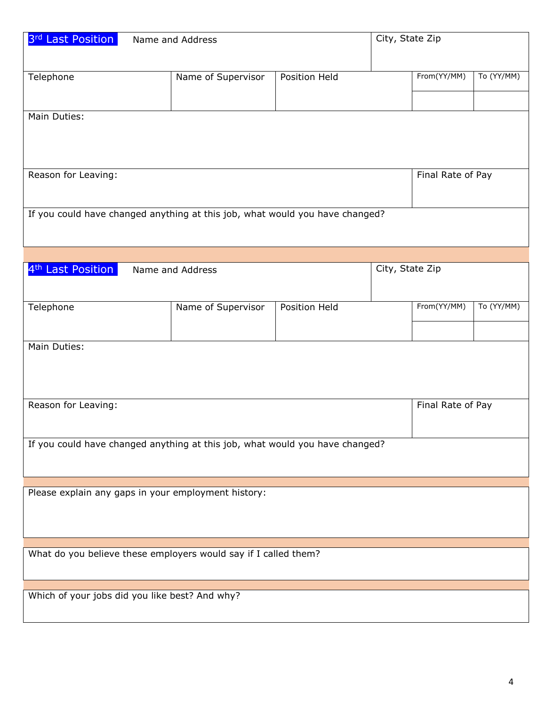| 3rd Last Position                                               | Name and Address                                                             |               | City, State Zip |                   |            |  |
|-----------------------------------------------------------------|------------------------------------------------------------------------------|---------------|-----------------|-------------------|------------|--|
|                                                                 |                                                                              |               |                 |                   |            |  |
| Telephone                                                       | Name of Supervisor                                                           | Position Held |                 | From(YY/MM)       | To (YY/MM) |  |
|                                                                 |                                                                              |               |                 |                   |            |  |
|                                                                 |                                                                              |               |                 |                   |            |  |
| Main Duties:                                                    |                                                                              |               |                 |                   |            |  |
|                                                                 |                                                                              |               |                 |                   |            |  |
|                                                                 |                                                                              |               |                 |                   |            |  |
| Reason for Leaving:                                             |                                                                              |               |                 | Final Rate of Pay |            |  |
|                                                                 |                                                                              |               |                 |                   |            |  |
|                                                                 |                                                                              |               |                 |                   |            |  |
|                                                                 | If you could have changed anything at this job, what would you have changed? |               |                 |                   |            |  |
|                                                                 |                                                                              |               |                 |                   |            |  |
|                                                                 |                                                                              |               |                 |                   |            |  |
| 4 <sup>th</sup> Last Position                                   | Name and Address                                                             |               | City, State Zip |                   |            |  |
|                                                                 |                                                                              |               |                 |                   |            |  |
| Telephone                                                       | Name of Supervisor                                                           | Position Held |                 | From(YY/MM)       | To (YY/MM) |  |
|                                                                 |                                                                              |               |                 |                   |            |  |
|                                                                 |                                                                              |               |                 |                   |            |  |
| Main Duties:                                                    |                                                                              |               |                 |                   |            |  |
|                                                                 |                                                                              |               |                 |                   |            |  |
|                                                                 |                                                                              |               |                 |                   |            |  |
| Reason for Leaving:                                             |                                                                              |               |                 | Final Rate of Pay |            |  |
|                                                                 |                                                                              |               |                 |                   |            |  |
|                                                                 |                                                                              |               |                 |                   |            |  |
|                                                                 | If you could have changed anything at this job, what would you have changed? |               |                 |                   |            |  |
|                                                                 |                                                                              |               |                 |                   |            |  |
|                                                                 |                                                                              |               |                 |                   |            |  |
|                                                                 | Please explain any gaps in your employment history:                          |               |                 |                   |            |  |
|                                                                 |                                                                              |               |                 |                   |            |  |
|                                                                 |                                                                              |               |                 |                   |            |  |
|                                                                 |                                                                              |               |                 |                   |            |  |
| What do you believe these employers would say if I called them? |                                                                              |               |                 |                   |            |  |
|                                                                 |                                                                              |               |                 |                   |            |  |
| Which of your jobs did you like best? And why?                  |                                                                              |               |                 |                   |            |  |
|                                                                 |                                                                              |               |                 |                   |            |  |
|                                                                 |                                                                              |               |                 |                   |            |  |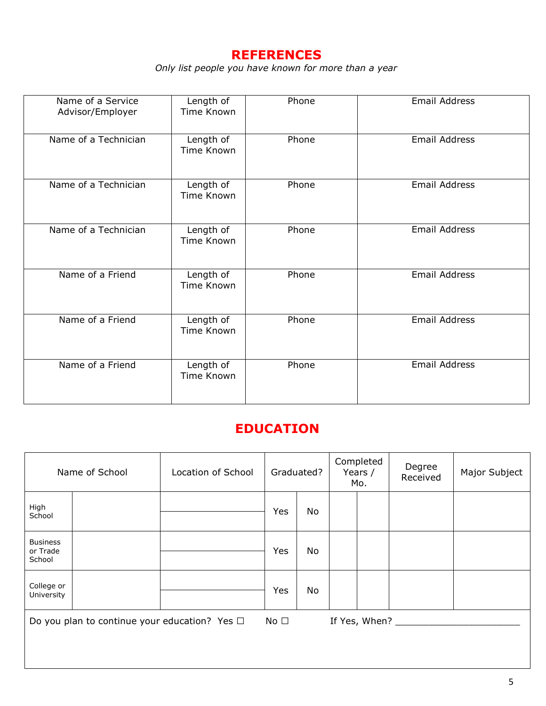#### **REFERENCES**

*Only list people you have known for more than a year*

| Name of a Service<br>Advisor/Employer | Length of<br><b>Time Known</b> | Phone | <b>Email Address</b> |
|---------------------------------------|--------------------------------|-------|----------------------|
| Name of a Technician                  | Length of<br>Time Known        | Phone | <b>Email Address</b> |
| Name of a Technician                  | Length of<br>Time Known        | Phone | <b>Email Address</b> |
| Name of a Technician                  | Length of<br>Time Known        | Phone | <b>Email Address</b> |
| Name of a Friend                      | Length of<br>Time Known        | Phone | <b>Email Address</b> |
| Name of a Friend                      | Length of<br>Time Known        | Phone | <b>Email Address</b> |
| Name of a Friend                      | Length of<br>Time Known        | Phone | <b>Email Address</b> |

### **EDUCATION**

| Name of School                                     |  | Location of School |     | Graduated? | Completed<br>Years /<br>Mo. |  | Degree<br>Received | Major Subject |
|----------------------------------------------------|--|--------------------|-----|------------|-----------------------------|--|--------------------|---------------|
| High<br>School                                     |  |                    | Yes | No         |                             |  |                    |               |
| <b>Business</b><br>or Trade<br>School              |  |                    | Yes | No         |                             |  |                    |               |
| College or<br>University                           |  |                    | Yes | <b>No</b>  |                             |  |                    |               |
| Do you plan to continue your education? Yes $\Box$ |  | No $\Box$          |     |            | If Yes, When?               |  |                    |               |
|                                                    |  |                    |     |            |                             |  |                    |               |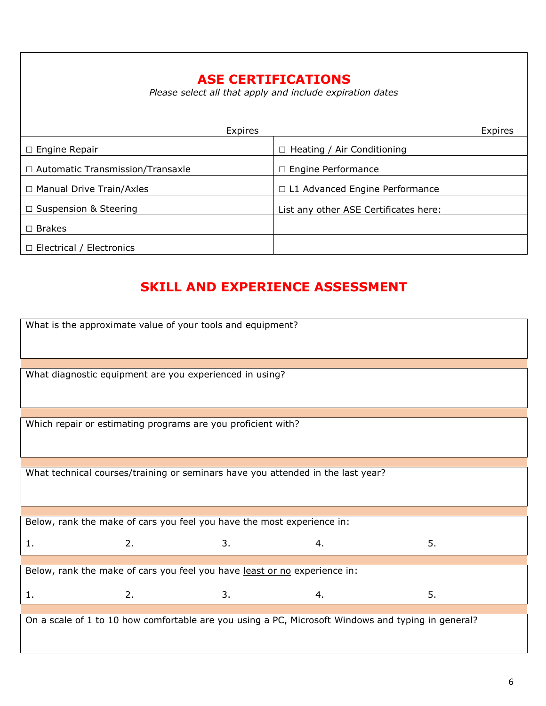## **ASE CERTIFICATIONS**

*Please select all that apply and include expiration dates*

| Expires                                 | Expires                               |
|-----------------------------------------|---------------------------------------|
| $\Box$ Engine Repair                    | Heating / Air Conditioning            |
| $\Box$ Automatic Transmission/Transaxle | $\Box$ Engine Performance             |
| $\Box$ Manual Drive Train/Axles         | $\Box$ L1 Advanced Engine Performance |
| $\Box$ Suspension & Steering            | List any other ASE Certificates here: |
| $\Box$ Brakes                           |                                       |
| $\Box$ Electrical / Electronics         |                                       |

# **SKILL AND EXPERIENCE ASSESSMENT**

| What is the approximate value of your tools and equipment?                      |                                                                        |    |                                                                                                    |    |  |  |  |
|---------------------------------------------------------------------------------|------------------------------------------------------------------------|----|----------------------------------------------------------------------------------------------------|----|--|--|--|
|                                                                                 |                                                                        |    |                                                                                                    |    |  |  |  |
|                                                                                 | What diagnostic equipment are you experienced in using?                |    |                                                                                                    |    |  |  |  |
|                                                                                 |                                                                        |    |                                                                                                    |    |  |  |  |
|                                                                                 | Which repair or estimating programs are you proficient with?           |    |                                                                                                    |    |  |  |  |
|                                                                                 |                                                                        |    |                                                                                                    |    |  |  |  |
| What technical courses/training or seminars have you attended in the last year? |                                                                        |    |                                                                                                    |    |  |  |  |
|                                                                                 | Below, rank the make of cars you feel you have the most experience in: |    |                                                                                                    |    |  |  |  |
|                                                                                 |                                                                        |    |                                                                                                    |    |  |  |  |
| 1.                                                                              | 2.                                                                     | 3. | 4.                                                                                                 | 5. |  |  |  |
|                                                                                 |                                                                        |    |                                                                                                    |    |  |  |  |
| Below, rank the make of cars you feel you have least or no experience in:       |                                                                        |    |                                                                                                    |    |  |  |  |
| 1.                                                                              | 2.                                                                     | 3. | 4.                                                                                                 | 5. |  |  |  |
|                                                                                 |                                                                        |    |                                                                                                    |    |  |  |  |
|                                                                                 |                                                                        |    | On a scale of 1 to 10 how comfortable are you using a PC, Microsoft Windows and typing in general? |    |  |  |  |